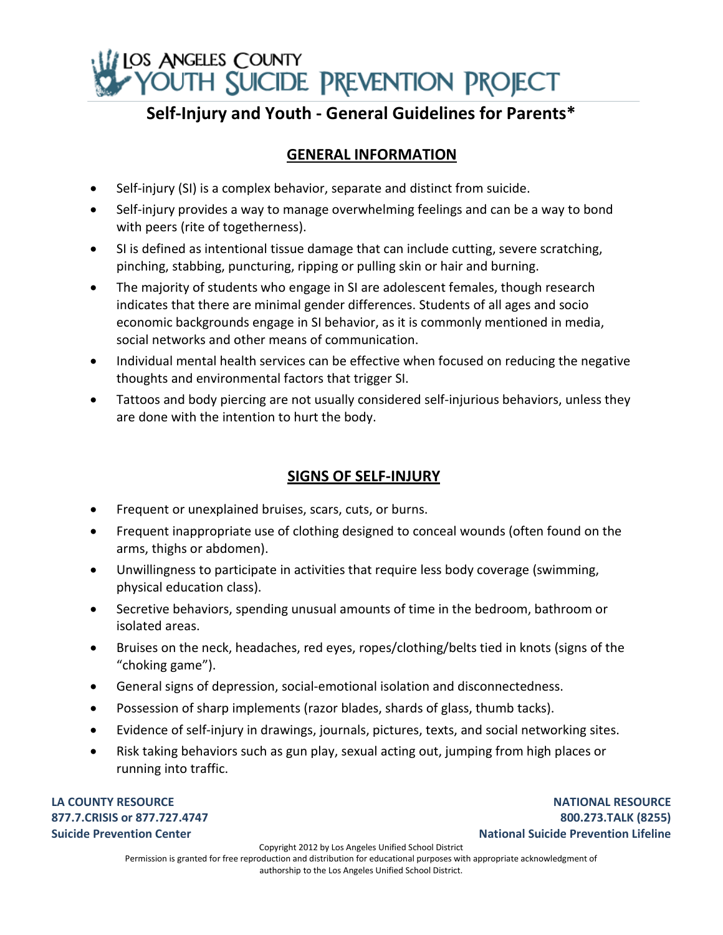

# **Self-Injury and Youth - General Guidelines for Parents\***

# **GENERAL INFORMATION**

- Self-injury (SI) is a complex behavior, separate and distinct from suicide.
- Self-injury provides a way to manage overwhelming feelings and can be a way to bond with peers (rite of togetherness).
- SI is defined as intentional tissue damage that can include cutting, severe scratching, pinching, stabbing, puncturing, ripping or pulling skin or hair and burning.
- The majority of students who engage in SI are adolescent females, though research indicates that there are minimal gender differences. Students of all ages and socio economic backgrounds engage in SI behavior, as it is commonly mentioned in media, social networks and other means of communication.
- Individual mental health services can be effective when focused on reducing the negative thoughts and environmental factors that trigger SI.
- Tattoos and body piercing are not usually considered self-injurious behaviors, unless they are done with the intention to hurt the body.

## **SIGNS OF SELF-INJURY**

- Frequent or unexplained bruises, scars, cuts, or burns.
- Frequent inappropriate use of clothing designed to conceal wounds (often found on the arms, thighs or abdomen).
- Unwillingness to participate in activities that require less body coverage (swimming, physical education class).
- Secretive behaviors, spending unusual amounts of time in the bedroom, bathroom or isolated areas.
- Bruises on the neck, headaches, red eyes, ropes/clothing/belts tied in knots (signs of the "choking game").
- General signs of depression, social-emotional isolation and disconnectedness.
- Possession of sharp implements (razor blades, shards of glass, thumb tacks).
- Evidence of self-injury in drawings, journals, pictures, texts, and social networking sites.
- Risk taking behaviors such as gun play, sexual acting out, jumping from high places or running into traffic.

**LA COUNTY RESOURCE 877.7.CRISIS or 877.727.4747 Suicide Prevention Center**

**NATIONAL RESOURCE 800.273.TALK (8255) National Suicide Prevention Lifeline**

Copyright 2012 by Los Angeles Unified School District

Permission is granted for free reproduction and distribution for educational purposes with appropriate acknowledgment of authorship to the Los Angeles Unified School District.